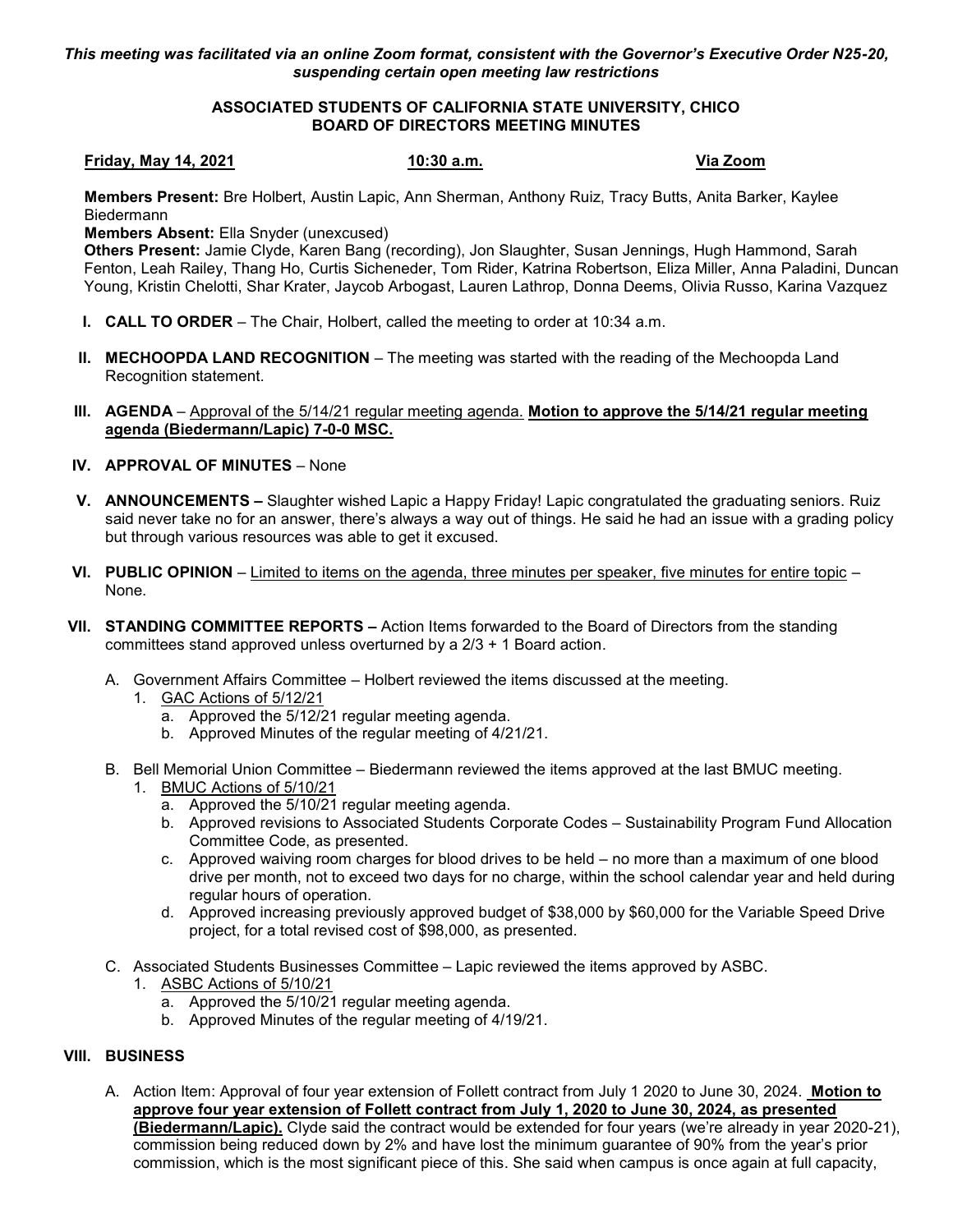*This meeting was facilitated via an online Zoom format, consistent with the Governor's Executive Order N25-20, suspending certain open meeting law restrictions*

### **ASSOCIATED STUDENTS OF CALIFORNIA STATE UNIVERSITY, CHICO BOARD OF DIRECTORS MEETING MINUTES**

## **Friday, May 14, 2021 10:30 a.m. Via Zoom**

**Members Present:** Bre Holbert, Austin Lapic, Ann Sherman, Anthony Ruiz, Tracy Butts, Anita Barker, Kaylee Biedermann

**Members Absent:** Ella Snyder (unexcused)

**Others Present:** Jamie Clyde, Karen Bang (recording), Jon Slaughter, Susan Jennings, Hugh Hammond, Sarah Fenton, Leah Railey, Thang Ho, Curtis Sicheneder, Tom Rider, Katrina Robertson, Eliza Miller, Anna Paladini, Duncan Young, Kristin Chelotti, Shar Krater, Jaycob Arbogast, Lauren Lathrop, Donna Deems, Olivia Russo, Karina Vazquez

- **I. CALL TO ORDER** The Chair, Holbert, called the meeting to order at 10:34 a.m.
- **II. MECHOOPDA LAND RECOGNITION** The meeting was started with the reading of the Mechoopda Land Recognition statement.
- **III. AGENDA** Approval of the 5/14/21 regular meeting agenda. **Motion to approve the 5/14/21 regular meeting agenda (Biedermann/Lapic) 7-0-0 MSC.**
- **IV. APPROVAL OF MINUTES** None
- **V. ANNOUNCEMENTS –** Slaughter wished Lapic a Happy Friday! Lapic congratulated the graduating seniors. Ruiz said never take no for an answer, there's always a way out of things. He said he had an issue with a grading policy but through various resources was able to get it excused.
- **VI. PUBLIC OPINION** Limited to items on the agenda, three minutes per speaker, five minutes for entire topic None.
- **VII. STANDING COMMITTEE REPORTS –** Action Items forwarded to the Board of Directors from the standing committees stand approved unless overturned by a 2/3 + 1 Board action.
	- A. Government Affairs Committee Holbert reviewed the items discussed at the meeting.
		- 1. GAC Actions of 5/12/21
			- a. Approved the 5/12/21 regular meeting agenda.
			- b. Approved Minutes of the regular meeting of 4/21/21.
	- B. Bell Memorial Union Committee Biedermann reviewed the items approved at the last BMUC meeting.
		- 1. BMUC Actions of 5/10/21
			- a. Approved the 5/10/21 regular meeting agenda.
			- b. Approved revisions to Associated Students Corporate Codes Sustainability Program Fund Allocation Committee Code, as presented.
			- c. Approved waiving room charges for blood drives to be held no more than a maximum of one blood drive per month, not to exceed two days for no charge, within the school calendar year and held during regular hours of operation.
			- d. Approved increasing previously approved budget of \$38,000 by \$60,000 for the Variable Speed Drive project, for a total revised cost of \$98,000, as presented.
	- C. Associated Students Businesses Committee Lapic reviewed the items approved by ASBC.
		- 1. ASBC Actions of 5/10/21
			- a. Approved the 5/10/21 regular meeting agenda.
			- b. Approved Minutes of the regular meeting of 4/19/21.

## **VIII. BUSINESS**

A. Action Item: Approval of four year extension of Follett contract from July 1 2020 to June 30, 2024. **Motion to approve four year extension of Follett contract from July 1, 2020 to June 30, 2024, as presented (Biedermann/Lapic).** Clyde said the contract would be extended for four years (we're already in year 2020-21), commission being reduced down by 2% and have lost the minimum guarantee of 90% from the year's prior commission, which is the most significant piece of this. She said when campus is once again at full capacity,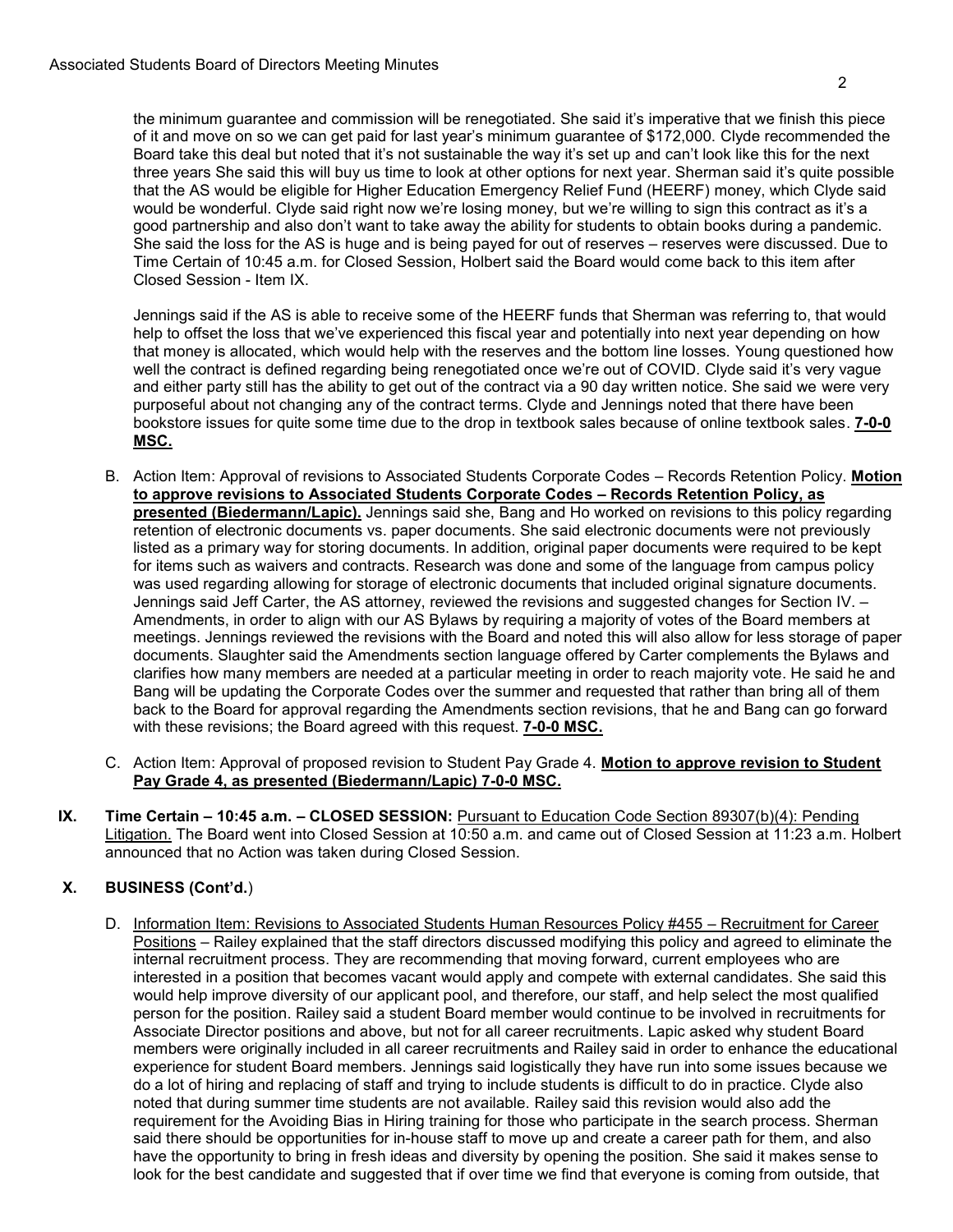the minimum guarantee and commission will be renegotiated. She said it's imperative that we finish this piece of it and move on so we can get paid for last year's minimum guarantee of \$172,000. Clyde recommended the Board take this deal but noted that it's not sustainable the way it's set up and can't look like this for the next three years She said this will buy us time to look at other options for next year. Sherman said it's quite possible that the AS would be eligible for Higher Education Emergency Relief Fund (HEERF) money, which Clyde said would be wonderful. Clyde said right now we're losing money, but we're willing to sign this contract as it's a good partnership and also don't want to take away the ability for students to obtain books during a pandemic. She said the loss for the AS is huge and is being payed for out of reserves – reserves were discussed. Due to Time Certain of 10:45 a.m. for Closed Session, Holbert said the Board would come back to this item after Closed Session - Item IX.

Jennings said if the AS is able to receive some of the HEERF funds that Sherman was referring to, that would help to offset the loss that we've experienced this fiscal year and potentially into next year depending on how that money is allocated, which would help with the reserves and the bottom line losses. Young questioned how well the contract is defined regarding being renegotiated once we're out of COVID. Clyde said it's very vague and either party still has the ability to get out of the contract via a 90 day written notice. She said we were very purposeful about not changing any of the contract terms. Clyde and Jennings noted that there have been bookstore issues for quite some time due to the drop in textbook sales because of online textbook sales. **7-0-0 MSC.**

- B. Action Item: Approval of revisions to Associated Students Corporate Codes Records Retention Policy. **Motion to approve revisions to Associated Students Corporate Codes – Records Retention Policy, as presented (Biedermann/Lapic).** Jennings said she, Bang and Ho worked on revisions to this policy regarding retention of electronic documents vs. paper documents. She said electronic documents were not previously listed as a primary way for storing documents. In addition, original paper documents were required to be kept for items such as waivers and contracts. Research was done and some of the language from campus policy was used regarding allowing for storage of electronic documents that included original signature documents. Jennings said Jeff Carter, the AS attorney, reviewed the revisions and suggested changes for Section IV. – Amendments, in order to align with our AS Bylaws by requiring a majority of votes of the Board members at meetings. Jennings reviewed the revisions with the Board and noted this will also allow for less storage of paper documents. Slaughter said the Amendments section language offered by Carter complements the Bylaws and clarifies how many members are needed at a particular meeting in order to reach majority vote. He said he and Bang will be updating the Corporate Codes over the summer and requested that rather than bring all of them back to the Board for approval regarding the Amendments section revisions, that he and Bang can go forward with these revisions; the Board agreed with this request. **7-0-0 MSC.**
- C. Action Item: Approval of proposed revision to Student Pay Grade 4. **Motion to approve revision to Student Pay Grade 4, as presented (Biedermann/Lapic) 7-0-0 MSC.**
- **IX. Time Certain – 10:45 a.m. – CLOSED SESSION:** Pursuant to Education Code Section 89307(b)(4): Pending Litigation. The Board went into Closed Session at 10:50 a.m. and came out of Closed Session at 11:23 a.m. Holbert announced that no Action was taken during Closed Session.

# **X. BUSINESS (Cont'd.**)

D. Information Item: Revisions to Associated Students Human Resources Policy #455 – Recruitment for Career Positions – Railey explained that the staff directors discussed modifying this policy and agreed to eliminate the internal recruitment process. They are recommending that moving forward, current employees who are interested in a position that becomes vacant would apply and compete with external candidates. She said this would help improve diversity of our applicant pool, and therefore, our staff, and help select the most qualified person for the position. Railey said a student Board member would continue to be involved in recruitments for Associate Director positions and above, but not for all career recruitments. Lapic asked why student Board members were originally included in all career recruitments and Railey said in order to enhance the educational experience for student Board members. Jennings said logistically they have run into some issues because we do a lot of hiring and replacing of staff and trying to include students is difficult to do in practice. Clyde also noted that during summer time students are not available. Railey said this revision would also add the requirement for the Avoiding Bias in Hiring training for those who participate in the search process. Sherman said there should be opportunities for in-house staff to move up and create a career path for them, and also have the opportunity to bring in fresh ideas and diversity by opening the position. She said it makes sense to look for the best candidate and suggested that if over time we find that everyone is coming from outside, that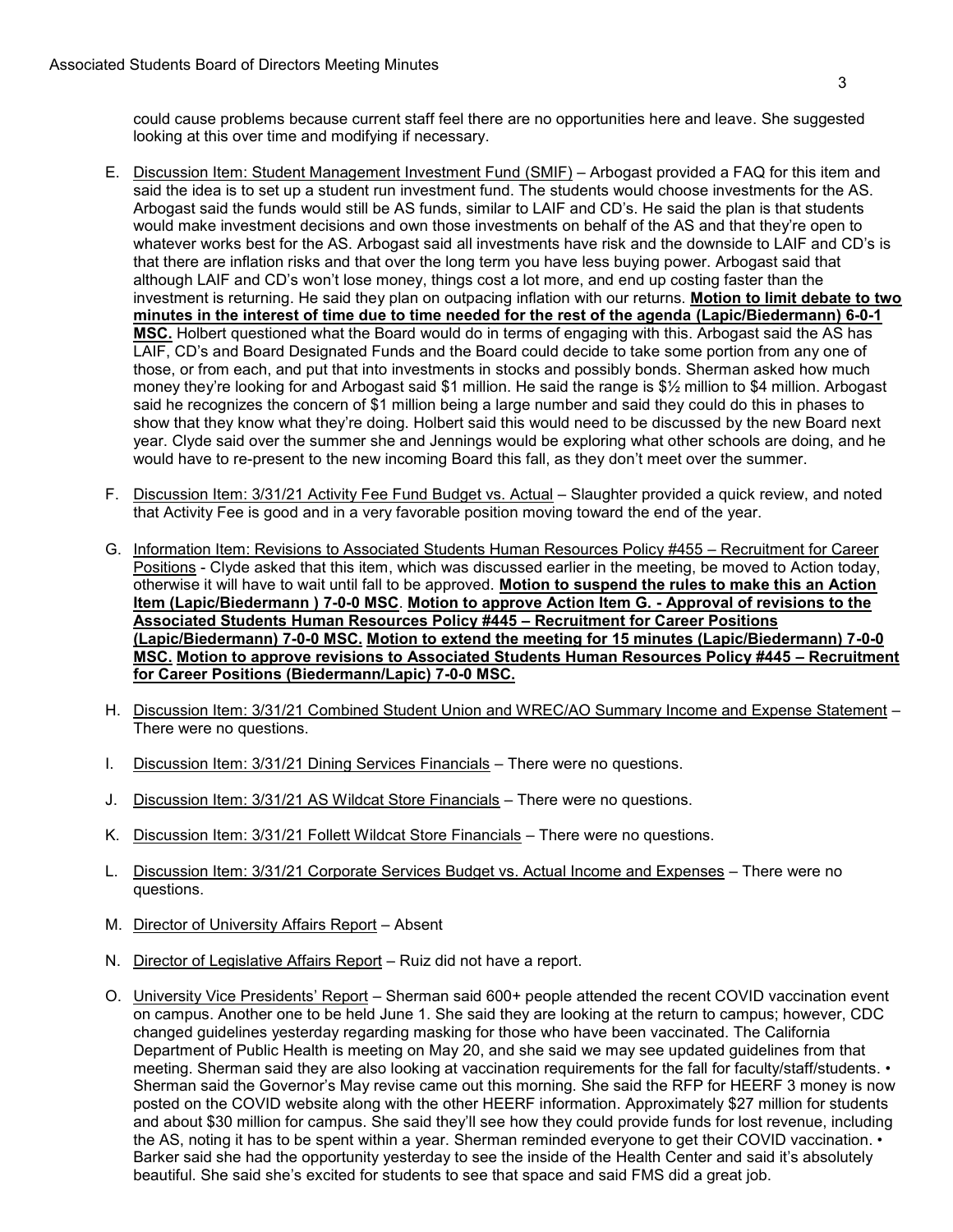could cause problems because current staff feel there are no opportunities here and leave. She suggested looking at this over time and modifying if necessary.

- E. Discussion Item: Student Management Investment Fund (SMIF) Arbogast provided a FAQ for this item and said the idea is to set up a student run investment fund. The students would choose investments for the AS. Arbogast said the funds would still be AS funds, similar to LAIF and CD's. He said the plan is that students would make investment decisions and own those investments on behalf of the AS and that they're open to whatever works best for the AS. Arbogast said all investments have risk and the downside to LAIF and CD's is that there are inflation risks and that over the long term you have less buying power. Arbogast said that although LAIF and CD's won't lose money, things cost a lot more, and end up costing faster than the investment is returning. He said they plan on outpacing inflation with our returns. **Motion to limit debate to two minutes in the interest of time due to time needed for the rest of the agenda (Lapic/Biedermann) 6-0-1 MSC.** Holbert questioned what the Board would do in terms of engaging with this. Arbogast said the AS has LAIF, CD's and Board Designated Funds and the Board could decide to take some portion from any one of those, or from each, and put that into investments in stocks and possibly bonds. Sherman asked how much money they're looking for and Arbogast said \$1 million. He said the range is \$½ million to \$4 million. Arbogast said he recognizes the concern of \$1 million being a large number and said they could do this in phases to show that they know what they're doing. Holbert said this would need to be discussed by the new Board next year. Clyde said over the summer she and Jennings would be exploring what other schools are doing, and he would have to re-present to the new incoming Board this fall, as they don't meet over the summer.
- F. Discussion Item: 3/31/21 Activity Fee Fund Budget vs. Actual Slaughter provided a quick review, and noted that Activity Fee is good and in a very favorable position moving toward the end of the year.
- G. Information Item: Revisions to Associated Students Human Resources Policy #455 Recruitment for Career Positions - Clyde asked that this item, which was discussed earlier in the meeting, be moved to Action today, otherwise it will have to wait until fall to be approved. **Motion to suspend the rules to make this an Action Item (Lapic/Biedermann ) 7-0-0 MSC**. **Motion to approve Action Item G. - Approval of revisions to the Associated Students Human Resources Policy #445 – Recruitment for Career Positions (Lapic/Biedermann) 7-0-0 MSC. Motion to extend the meeting for 15 minutes (Lapic/Biedermann) 7-0-0 MSC. Motion to approve revisions to Associated Students Human Resources Policy #445 – Recruitment for Career Positions (Biedermann/Lapic) 7-0-0 MSC.**
- H. Discussion Item: 3/31/21 Combined Student Union and WREC/AO Summary Income and Expense Statement There were no questions.
- I. Discussion Item: 3/31/21 Dining Services Financials There were no questions.
- J. Discussion Item: 3/31/21 AS Wildcat Store Financials There were no questions.
- K. Discussion Item: 3/31/21 Follett Wildcat Store Financials There were no questions.
- L. Discussion Item: 3/31/21 Corporate Services Budget vs. Actual Income and Expenses There were no questions.
- M. Director of University Affairs Report Absent
- N. Director of Legislative Affairs Report Ruiz did not have a report.
- O. University Vice Presidents' Report Sherman said 600+ people attended the recent COVID vaccination event on campus. Another one to be held June 1. She said they are looking at the return to campus; however, CDC changed guidelines yesterday regarding masking for those who have been vaccinated. The California Department of Public Health is meeting on May 20, and she said we may see updated guidelines from that meeting. Sherman said they are also looking at vaccination requirements for the fall for faculty/staff/students. • Sherman said the Governor's May revise came out this morning. She said the RFP for HEERF 3 money is now posted on the COVID website along with the other HEERF information. Approximately \$27 million for students and about \$30 million for campus. She said they'll see how they could provide funds for lost revenue, including the AS, noting it has to be spent within a year. Sherman reminded everyone to get their COVID vaccination. • Barker said she had the opportunity yesterday to see the inside of the Health Center and said it's absolutely beautiful. She said she's excited for students to see that space and said FMS did a great job.